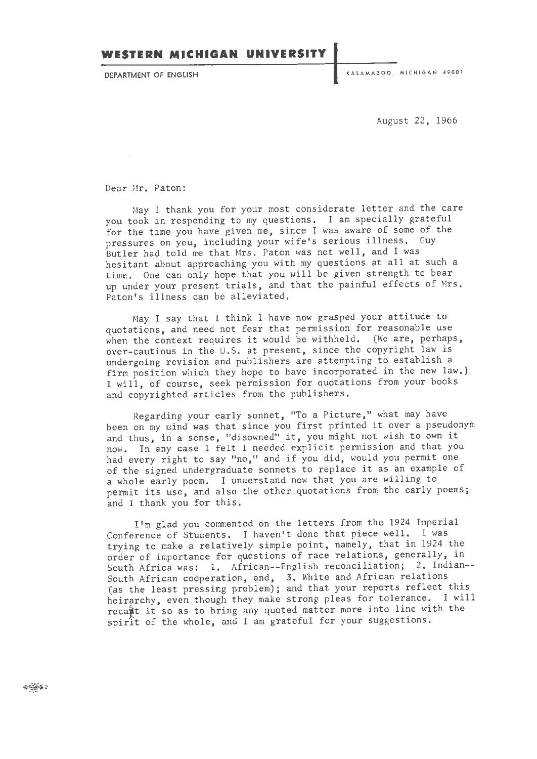August 22, 1966

Dear Mr. Paton:

May I thank you for your most considerate letter and the care you took in responding to my questions. I am specially grateful for the time you have given me, since I was aware of some of the pressures on you, including your wife's serious illness. Guy Butler had told me that Mrs. Paton was not well, and I was hesitant about approaching you with my questions at all at such a time. One can only hope that you will be given strength to bear up under your present trials, and that the painful effects of Mrs . Paton's illness can be alleviated.

May I say that I think I have now grasped your attitude to quotations, and need not fear that permission for reasonable use when the context requires it would be withheld. (We are, perhaps, over-cautious in the U.S. at present, since the copyright law is undergoing revision and publishers are attempting to establish a firm position which they hope to have incorporated in the new law.) I will, of course, seek permission for quotations from your books and copyrighted articles from the publishers.

Regarding your early sonnet, "To a Picture," what may have been on my mind was that since you first printed it over a pseudonym and thus, in a sense, "disowned" it, you might not wish to own it now. In any case I felt I needed explicit permission and that you had every right to say "no," and if you did, would you permit one of the signed undergraduate sonnets to replace it as an example of a whole early poem. I understand now that you are willing to permit its use, and also the other quotations from the early poems; and I thank you for this.

I'm glad you commented on the letters from the 1924 Imperial Conference of Students. I haven't done that piece well. I was trying to make a relatively simple point, namely, that in 1924 the order of importance for questions of race relations, generally, in South Africa was: 1. African--English reconciliation; 2. Indian-- South African cooperation, and, 3. White and African relations (as the least pressing problem); and that your reports reflect this heirarchy, even though they make strong pleas for tolerance. I will recait it so as to bring any quoted matter more into line with the spirit of the whole, and I am grateful for your suggestions.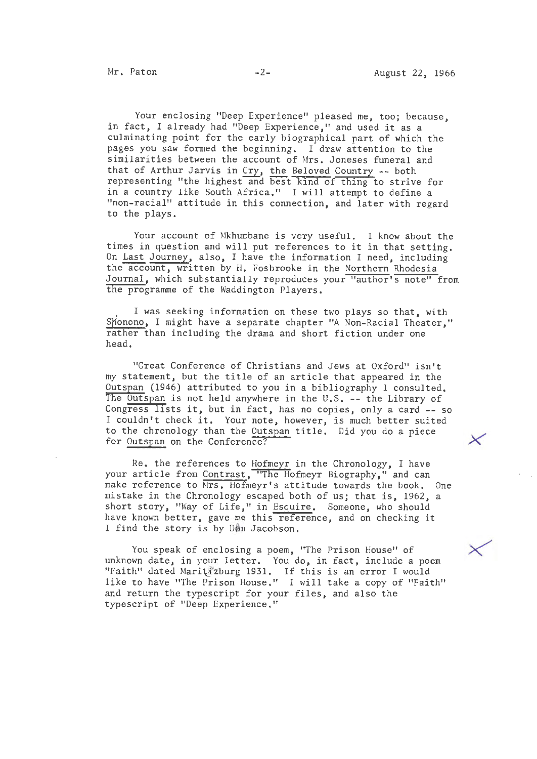Your enclosing "Deep Experience" pleased me, too; because, in fact, I already had "Deep Experience," and used it as a culminating point for the early biographical part of which the pages you saw formed the beginning. I draw attention to the similarities between the account of Mrs. Joneses funeral and that of Arthur Jarvis in Cry, the Beloved Country -- both representing "the highest and best kind of thing to strive for in a country like South Africa." I will attempt to define a "non-racial" attitude in this connection, and later with regard to the plays.

Your account of Mkhumbane is very useful. I know about the times in question and will put references to it in that setting. On Last Journey, also, I have the information I need, including the account, written by H, Fosbrooke in the Northern Rhodesia Journal, which substantially reproduces your "author's note" from the programme of the Waddington Players.

I was seeking information on these two plays so that, with Shonono, I might have a separate chapter "A Non-Racial Theater," rather than including the drama and short fiction under one head,

"Great Conference of Christians and Jews at Oxford" isn't my statement, but the title of an article that appeared in the Outspan (1946) attributed to you in a bibliography I consulted. The Outspan is not held anywhere in the U.S. -- the Library of Congress lists it, but in fact, has no copies, only a card -- so I couldn't check it. Your note, however, is much better suited to the chronology than the Outspan title. Did you do a piece for Outspan on the Conference?

Re. the references to Hofmeyr in the Chronology, I have your article from Contrast, "The Hofmeyr Biography," and can make reference to Mrs, Hofmeyr's attitude towards the book, One mistake in the Chronology escaped both of us; that is, 1962, a short story, "Way of Life," in Esquire. Someone, who should have known better, gave me this reference, and on checking it I find the story is by Don Jacobson.

You speak of enclosing a poem, "The Prison House" of unknown date, in your letter. You do, in fact, include a poem "Faith" dated Maritizburg 1931. If this is an error I would like to have "The Prison House," I will take a copy of "Faith" and return the typescript for your files, and also the typescript of "Deep Experience."